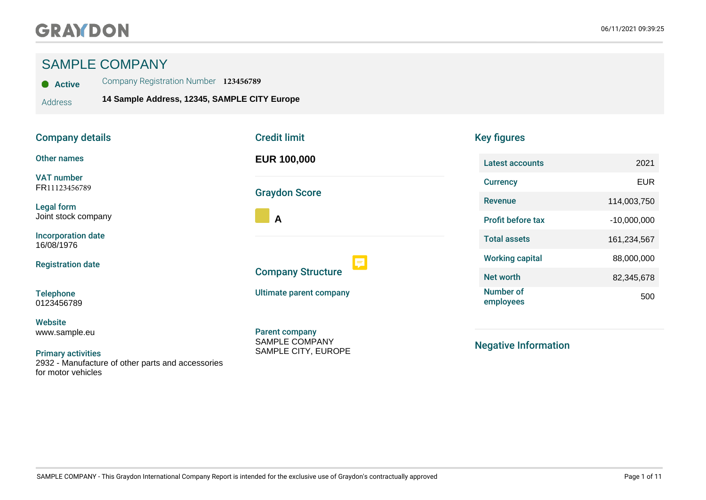# SAMPLE COMPANY

**Active** Company Registration Number **123456789**

Address **14 Sample Address, 12345, SAMPLE CITY Europe**

| <b>Company details</b>                                                                               | <b>Credit limit</b>                            |
|------------------------------------------------------------------------------------------------------|------------------------------------------------|
| <b>Other names</b>                                                                                   | <b>EUR 100,000</b>                             |
| <b>VAT number</b><br>FR11123456789                                                                   | <b>Graydon Score</b>                           |
| <b>Legal form</b><br>Joint stock company                                                             | A                                              |
| <b>Incorporation date</b><br>16/08/1976                                                              |                                                |
| <b>Registration date</b>                                                                             | <b>Company Structure</b>                       |
| <b>Telephone</b><br>0123456789                                                                       | Ultimate parent company                        |
| <b>Website</b><br>www.sample.eu                                                                      | <b>Parent company</b><br><b>SAMPLE COMPANY</b> |
| <b>Primary activities</b><br>2932 - Manufacture of other parts and accessories<br>for motor vehicles | SAMPLE CITY, EUROPE                            |

| <b>Credit limit</b>                                 |  |
|-----------------------------------------------------|--|
| <b>EUR 100,000</b>                                  |  |
| <b>Graydon Score</b>                                |  |
| A                                                   |  |
| <b>Company Structure</b><br>Ultimate parent company |  |
| <b>Parent company</b><br><b>SAMPLE COMPANY</b>      |  |

# Key figures

| Latest accounts               | 2021          |
|-------------------------------|---------------|
| <b>Currency</b>               | FUR           |
| Revenue                       | 114,003,750   |
| <b>Profit before tax</b>      | $-10.000.000$ |
| <b>Total assets</b>           | 161,234,567   |
| <b>Working capital</b>        | 88,000,000    |
| Net worth                     | 82,345,678    |
| <b>Number of</b><br>employees | 50            |

Negative Information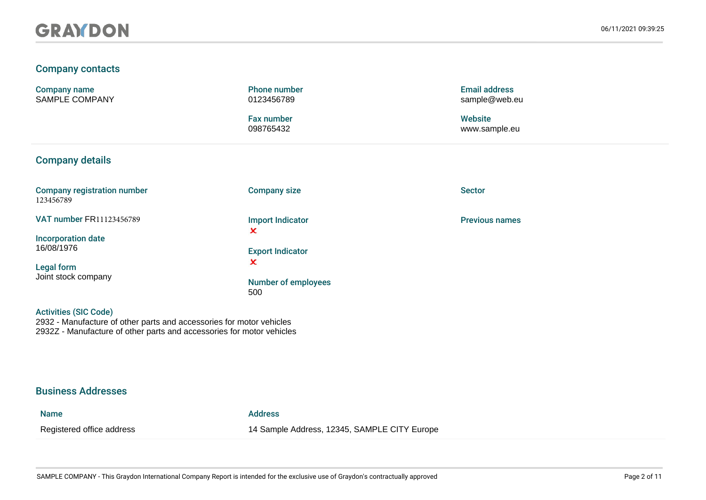### Company contacts

Company name SAMPLE COMPANY Phone number 0123456789

Fax number 098765432

### Company details

Company registration number 123456789

VAT number FR11123456789

Incorporation date 16/08/1976

Legal form Joint stock company

Activities (SIC Code)

Company size

Import Indicator  $\overline{\mathbf{x}}$ 

Export Indicator  $\mathbf{x}$ 

Number of employees 500

Email address sample@web.eu

**Website** www.sample.eu

Sector

Previous names

#### Business Addresses

#### Name Address

2932 - Manufacture of other parts and accessories for motor vehicles 2932Z - Manufacture of other parts and accessories for motor vehicles

Registered office address 14 Sample Address, 12345, SAMPLE CITY Europe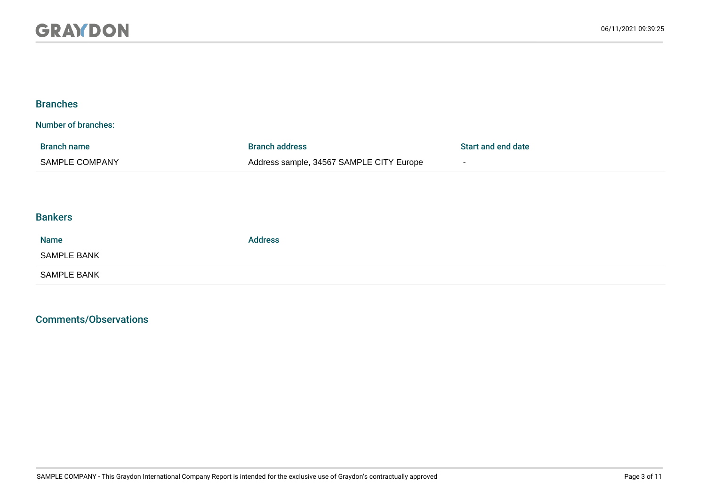| <b>Branches</b>                      |                                                                   |                              |
|--------------------------------------|-------------------------------------------------------------------|------------------------------|
| <b>Number of branches:</b>           |                                                                   |                              |
| <b>Branch name</b><br>SAMPLE COMPANY | <b>Branch address</b><br>Address sample, 34567 SAMPLE CITY Europe | Start and end date<br>$\sim$ |
|                                      |                                                                   |                              |
| <b>Bankers</b>                       |                                                                   |                              |
| <b>Name</b>                          | <b>Address</b>                                                    |                              |
| <b>SAMPLE BANK</b>                   |                                                                   |                              |
| <b>SAMPLE BANK</b>                   |                                                                   |                              |

## Comments/Observations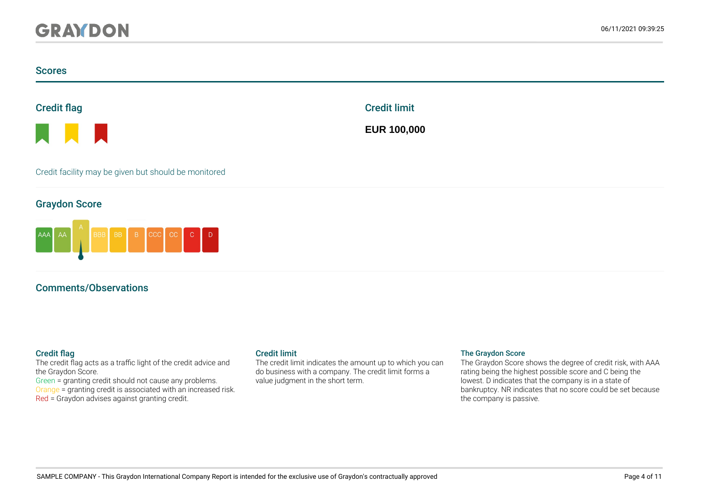#### **Scores**



a ka

Credit facility may be given but should be monitored

#### Graydon Score



## Comments/Observations

The credit flag acts as a traffic light of the credit advice and the Graydon Score.

Green = granting credit should not cause any problems. Orange = granting credit is associated with an increased risk. Red = Graydon advises against granting credit.

The credit limit indicates the amount up to which you can do business with a company. The credit limit forms a value judgment in the short term.

Credit limit

**EUR 100,000**

#### Credit flag Credit limit Credit limit Credit Limit The Graydon Score

The Graydon Score shows the degree of credit risk, with AAA rating being the highest possible score and C being the lowest. D indicates that the company is in a state of bankruptcy. NR indicates that no score could be set because the company is passive.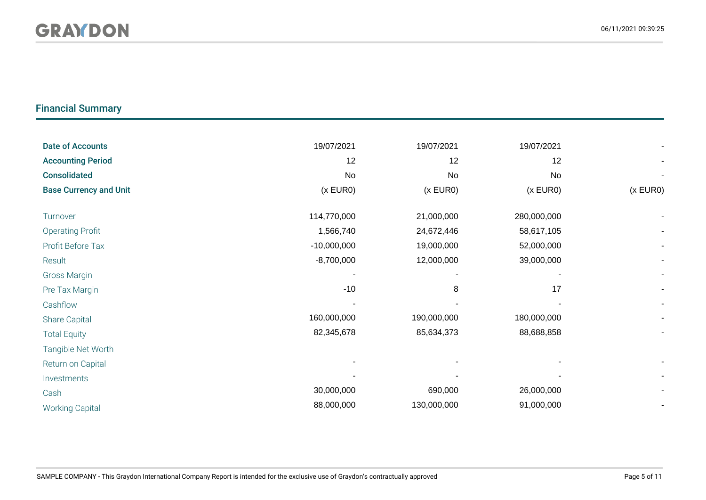# Financial Summary

| <b>Date of Accounts</b>       | 19/07/2021    | 19/07/2021  | 19/07/2021  |          |
|-------------------------------|---------------|-------------|-------------|----------|
| <b>Accounting Period</b>      | 12            | 12          | 12          |          |
| <b>Consolidated</b>           | No            | <b>No</b>   | <b>No</b>   |          |
| <b>Base Currency and Unit</b> | (x EUR0)      | (x EUR0)    | (x EUR0)    | (x EUR0) |
| Turnover                      | 114,770,000   | 21,000,000  | 280,000,000 |          |
| <b>Operating Profit</b>       | 1,566,740     | 24,672,446  | 58,617,105  |          |
| Profit Before Tax             | $-10,000,000$ | 19,000,000  | 52,000,000  |          |
| Result                        | $-8,700,000$  | 12,000,000  | 39,000,000  |          |
| <b>Gross Margin</b>           |               |             |             |          |
| Pre Tax Margin                | $-10$         | 8           | 17          |          |
| Cashflow                      |               |             |             |          |
| Share Capital                 | 160,000,000   | 190,000,000 | 180,000,000 |          |
| <b>Total Equity</b>           | 82,345,678    | 85,634,373  | 88,688,858  |          |
| Tangible Net Worth            |               |             |             |          |
| Return on Capital             |               |             |             |          |
| Investments                   |               |             |             |          |
| Cash                          | 30,000,000    | 690,000     | 26,000,000  |          |
| <b>Working Capital</b>        | 88,000,000    | 130,000,000 | 91,000,000  |          |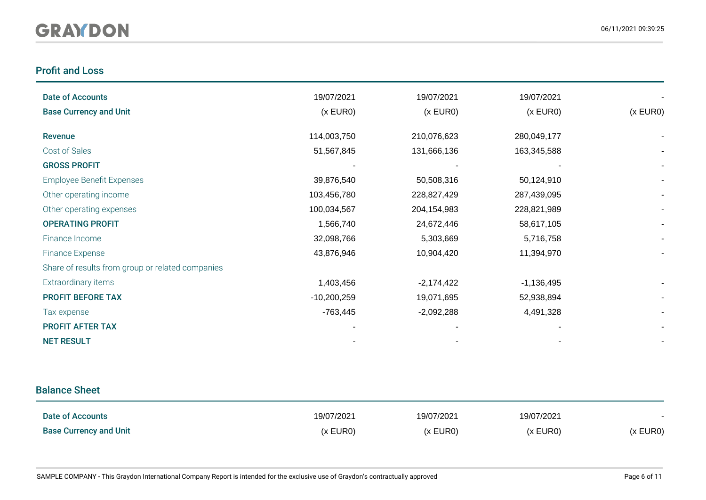# Profit and Loss

| <b>Date of Accounts</b>                          | 19/07/2021    | 19/07/2021   | 19/07/2021   |                          |
|--------------------------------------------------|---------------|--------------|--------------|--------------------------|
| <b>Base Currency and Unit</b>                    | (x EUR0)      | (x EUR0)     | (x EUR0)     | (x EUR0)                 |
|                                                  |               |              |              |                          |
| Revenue                                          | 114,003,750   | 210,076,623  | 280,049,177  |                          |
| Cost of Sales                                    | 51,567,845    | 131,666,136  | 163,345,588  |                          |
| <b>GROSS PROFIT</b>                              |               |              |              |                          |
| <b>Employee Benefit Expenses</b>                 | 39,876,540    | 50,508,316   | 50,124,910   |                          |
| Other operating income                           | 103,456,780   | 228,827,429  | 287,439,095  | $\overline{\phantom{a}}$ |
| Other operating expenses                         | 100,034,567   | 204,154,983  | 228,821,989  |                          |
| <b>OPERATING PROFIT</b>                          | 1,566,740     | 24,672,446   | 58,617,105   |                          |
| Finance Income                                   | 32,098,766    | 5,303,669    | 5,716,758    |                          |
| <b>Finance Expense</b>                           | 43,876,946    | 10,904,420   | 11,394,970   |                          |
| Share of results from group or related companies |               |              |              |                          |
| Extraordinary items                              | 1,403,456     | $-2,174,422$ | $-1,136,495$ |                          |
| <b>PROFIT BEFORE TAX</b>                         | $-10,200,259$ | 19,071,695   | 52,938,894   |                          |
| Tax expense                                      | $-763,445$    | $-2,092,288$ | 4,491,328    |                          |
| <b>PROFIT AFTER TAX</b>                          |               |              |              |                          |
| <b>NET RESULT</b>                                |               |              |              |                          |

# Balance Sheet

| Date of Accounts              | 19/07/2021 | 19/07/2021 | 19/07/2021 |          |
|-------------------------------|------------|------------|------------|----------|
| <b>Base Currency and Unit</b> | (x EURO)   | (x EUR0)   | (x EUR0)   | (x EUR0) |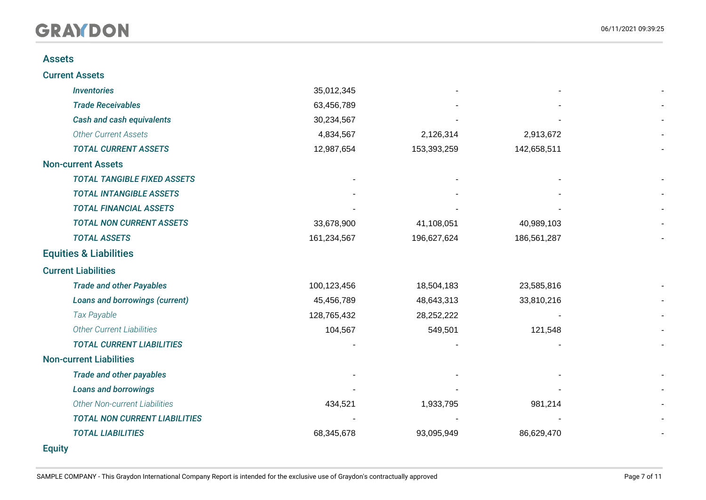#### Assets

| <b>Inventories</b>                   | 35,012,345  |             |             |  |
|--------------------------------------|-------------|-------------|-------------|--|
| <b>Trade Receivables</b>             | 63,456,789  |             |             |  |
| Cash and cash equivalents            | 30,234,567  |             |             |  |
| <b>Other Current Assets</b>          | 4,834,567   | 2,126,314   | 2,913,672   |  |
| <b>TOTAL CURRENT ASSETS</b>          | 12,987,654  | 153,393,259 | 142,658,511 |  |
| <b>Non-current Assets</b>            |             |             |             |  |
| <b>TOTAL TANGIBLE FIXED ASSETS</b>   |             |             |             |  |
| <b>TOTAL INTANGIBLE ASSETS</b>       |             |             |             |  |
| <b>TOTAL FINANCIAL ASSETS</b>        |             |             |             |  |
| <b>TOTAL NON CURRENT ASSETS</b>      | 33,678,900  | 41,108,051  | 40,989,103  |  |
| <b>TOTAL ASSETS</b>                  | 161,234,567 | 196,627,624 | 186,561,287 |  |
| <b>Equities &amp; Liabilities</b>    |             |             |             |  |
| <b>Current Liabilities</b>           |             |             |             |  |
| <b>Trade and other Payables</b>      | 100,123,456 | 18,504,183  | 23,585,816  |  |
| Loans and borrowings (current)       | 45,456,789  | 48,643,313  | 33,810,216  |  |
| Tax Payable                          | 128,765,432 | 28,252,222  |             |  |
| <b>Other Current Liabilities</b>     | 104,567     | 549,501     | 121,548     |  |
| <b>TOTAL CURRENT LIABILITIES</b>     |             |             |             |  |
| <b>Non-current Liabilities</b>       |             |             |             |  |
| <b>Trade and other payables</b>      |             |             |             |  |
| <b>Loans and borrowings</b>          |             |             |             |  |
| Other Non-current Liabilities        | 434,521     | 1,933,795   | 981,214     |  |
| <b>TOTAL NON CURRENT LIABILITIES</b> |             |             |             |  |
| <b>TOTAL LIABILITIES</b>             | 68,345,678  | 93,095,949  | 86,629,470  |  |
| <b>Equity</b>                        |             |             |             |  |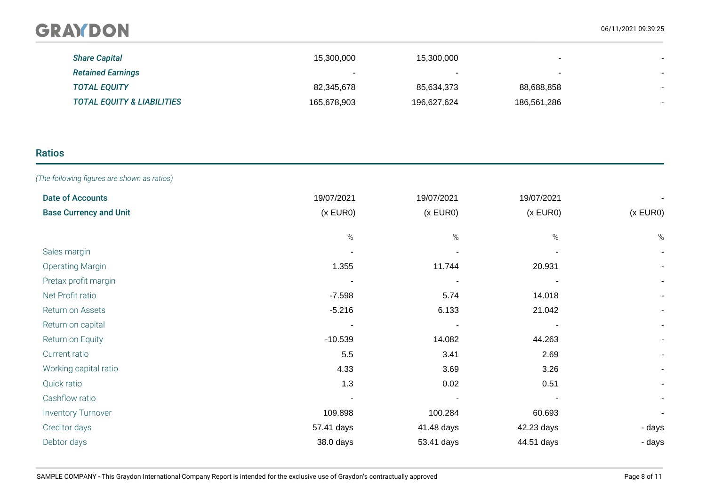| <b>Share Capital</b>                  | 15,300,000  | 15,300,000               | $\overline{\phantom{a}}$ |  |
|---------------------------------------|-------------|--------------------------|--------------------------|--|
| <b>Retained Earnings</b>              |             | $\overline{\phantom{0}}$ | $\overline{\phantom{0}}$ |  |
| <b>TOTAL EQUITY</b>                   | 82,345,678  | 85,634,373               | 88,688,858               |  |
| <b>TOTAL EQUITY &amp; LIABILITIES</b> | 165,678,903 | 196,627,624              | 186,561,286              |  |

# Ratios

*(The following figures are shown as ratios)*

| <b>Date of Accounts</b>       | 19/07/2021 | 19/07/2021 | 19/07/2021 |                          |
|-------------------------------|------------|------------|------------|--------------------------|
| <b>Base Currency and Unit</b> | (x EUR0)   | (x EUR0)   | (x EUR0)   | (x EUR0)                 |
|                               |            |            |            |                          |
|                               | $\%$       | $\%$       | %          | $\%$                     |
| Sales margin                  |            |            |            |                          |
| <b>Operating Margin</b>       | 1.355      | 11.744     | 20.931     |                          |
| Pretax profit margin          |            |            |            | $\overline{\phantom{a}}$ |
| Net Profit ratio              | $-7.598$   | 5.74       | 14.018     | $\overline{\phantom{a}}$ |
| Return on Assets              | $-5.216$   | 6.133      | 21.042     |                          |
| Return on capital             |            |            |            | $\overline{\phantom{a}}$ |
| Return on Equity              | $-10.539$  | 14.082     | 44.263     | $\sim$                   |
| Current ratio                 | 5.5        | 3.41       | 2.69       | $\sim$                   |
| Working capital ratio         | 4.33       | 3.69       | 3.26       | $\blacksquare$           |
| Quick ratio                   | $1.3\,$    | 0.02       | 0.51       |                          |
| Cashflow ratio                |            |            |            | $\blacksquare$           |
| <b>Inventory Turnover</b>     | 109.898    | 100.284    | 60.693     |                          |
| Creditor days                 | 57.41 days | 41.48 days | 42.23 days | - days                   |
| Debtor days                   | 38.0 days  | 53.41 days | 44.51 days | - days                   |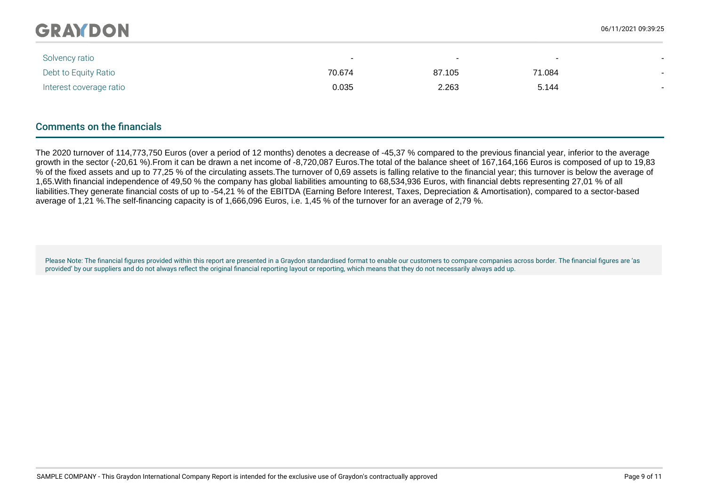| Solvency ratio          | $\overline{\phantom{0}}$ | $\overline{\phantom{0}}$ | $\overline{\phantom{0}}$ |                          |
|-------------------------|--------------------------|--------------------------|--------------------------|--------------------------|
| Debt to Equity Ratio    | 70.674                   | 87.105                   | 71.084                   |                          |
| Interest coverage ratio | 0.035                    | 2.263                    | 5.144                    | $\overline{\phantom{0}}$ |
|                         |                          |                          |                          |                          |
|                         |                          |                          |                          |                          |

## Comments on the financials

The 2020 turnover of 114,773,750 Euros (over a period of 12 months) denotes a decrease of -45,37 % compared to the previous financial year, inferior to the average growth in the sector (-20,61 %).From it can be drawn a net income of -8,720,087 Euros.The total of the balance sheet of 167,164,166 Euros is composed of up to 19,83 % of the fixed assets and up to 77,25 % of the circulating assets.The turnover of 0,69 assets is falling relative to the financial year; this turnover is below the average of 1,65.With financial independence of 49,50 % the company has global liabilities amounting to 68,534,936 Euros, with financial debts representing 27,01 % of all liabilities.They generate financial costs of up to -54,21 % of the EBITDA (Earning Before Interest, Taxes, Depreciation & Amortisation), compared to a sector-based average of 1,21 %.The self-financing capacity is of 1,666,096 Euros, i.e. 1,45 % of the turnover for an average of 2,79 %.

Please Note: The financial figures provided within this report are presented in a Graydon standardised format to enable our customers to compare companies across border. The financial figures are 'as provided' by our suppliers and do not always reflect the original financial reporting layout or reporting, which means that they do not necessarily always add up.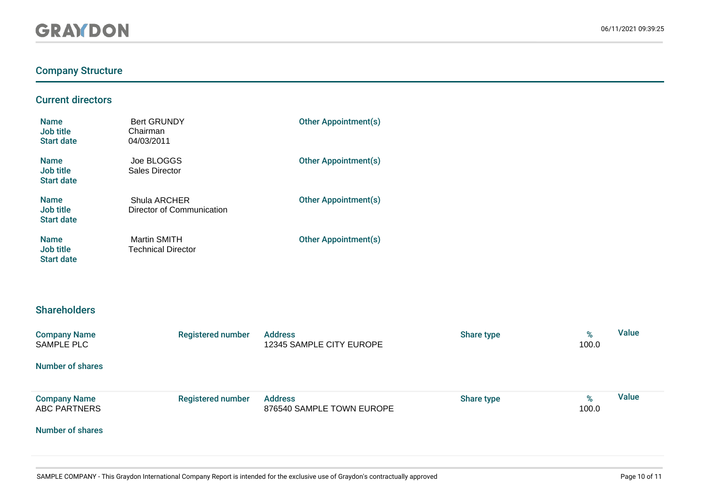# Company Structure

### Current directors

| <b>Name</b><br>Job title<br><b>Start date</b> | <b>Bert GRUNDY</b><br>Chairman<br>04/03/2011     | <b>Other Appointment(s)</b> |
|-----------------------------------------------|--------------------------------------------------|-----------------------------|
| <b>Name</b><br>Job title<br><b>Start date</b> | Joe BLOGGS<br>Sales Director                     | <b>Other Appointment(s)</b> |
| <b>Name</b><br>Job title<br><b>Start date</b> | Shula ARCHER<br>Director of Communication        | <b>Other Appointment(s)</b> |
| <b>Name</b><br>Job title<br><b>Start date</b> | <b>Martin SMITH</b><br><b>Technical Director</b> | <b>Other Appointment(s)</b> |

## **Shareholders**

| <b>Company Name</b><br>SAMPLE PLC          | <b>Registered number</b> | <b>Address</b><br>12345 SAMPLE CITY EUROPE  | Share type | %<br>100.0 | Value        |
|--------------------------------------------|--------------------------|---------------------------------------------|------------|------------|--------------|
| <b>Number of shares</b>                    |                          |                                             |            |            |              |
| <b>Company Name</b><br><b>ABC PARTNERS</b> | <b>Registered number</b> | <b>Address</b><br>876540 SAMPLE TOWN EUROPE | Share type | %<br>100.0 | <b>Value</b> |
| <b>Number of shares</b>                    |                          |                                             |            |            |              |